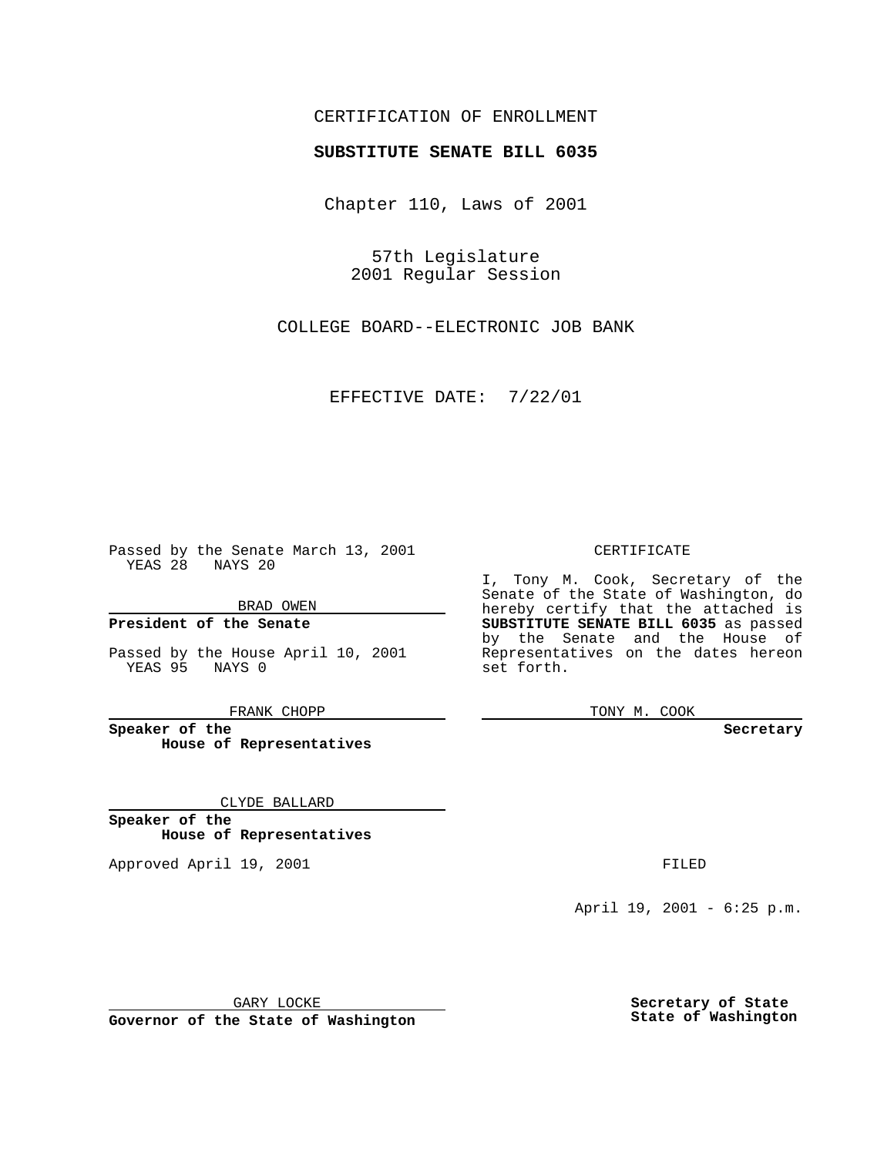# CERTIFICATION OF ENROLLMENT

# **SUBSTITUTE SENATE BILL 6035**

Chapter 110, Laws of 2001

57th Legislature 2001 Regular Session

COLLEGE BOARD--ELECTRONIC JOB BANK

EFFECTIVE DATE: 7/22/01

Passed by the Senate March 13, 2001 YEAS 28 NAYS 20

BRAD OWEN

**President of the Senate**

Passed by the House April 10, 2001 YEAS 95 NAYS 0

FRANK CHOPP

**Speaker of the House of Representatives**

CLYDE BALLARD

**Speaker of the House of Representatives**

Approved April 19, 2001 **FILED** 

### CERTIFICATE

I, Tony M. Cook, Secretary of the Senate of the State of Washington, do hereby certify that the attached is **SUBSTITUTE SENATE BILL 6035** as passed by the Senate and the House of Representatives on the dates hereon set forth.

TONY M. COOK

#### **Secretary**

April 19, 2001 - 6:25 p.m.

GARY LOCKE

**Governor of the State of Washington**

**Secretary of State State of Washington**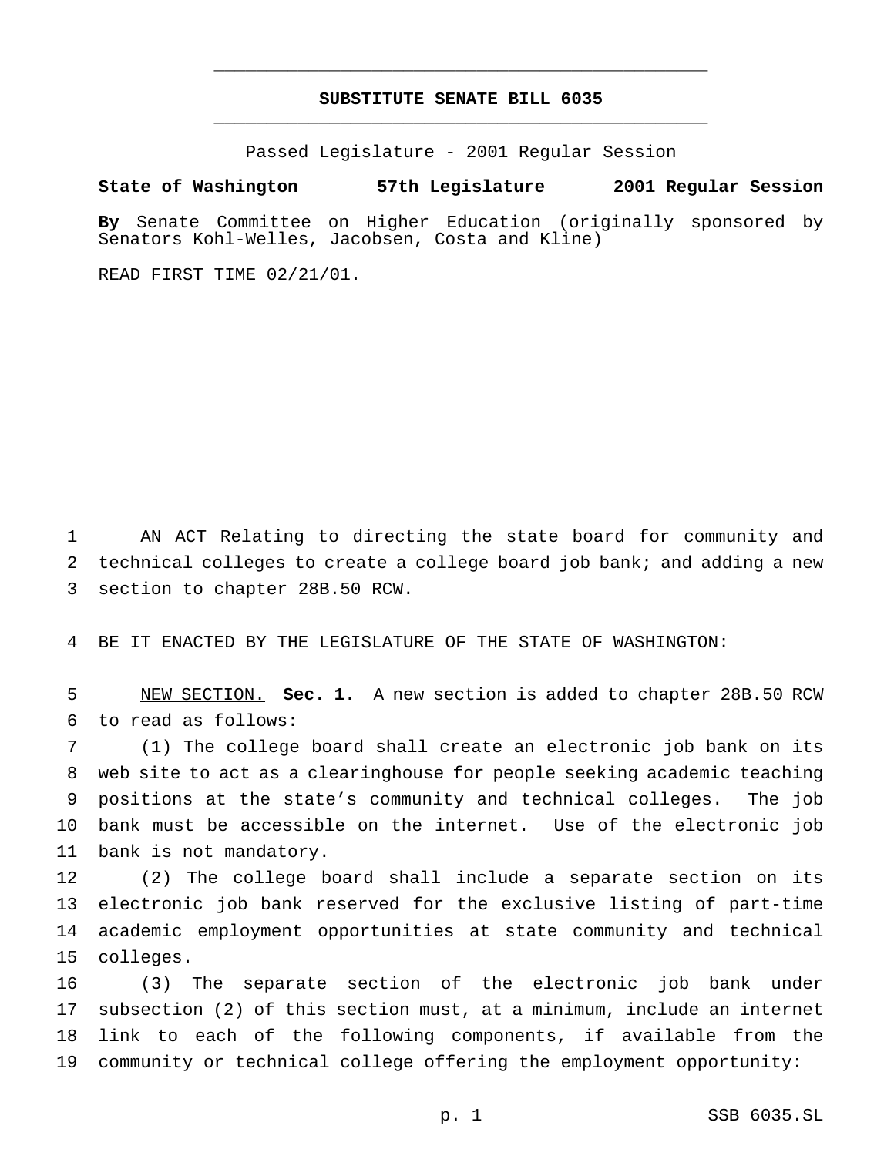# **SUBSTITUTE SENATE BILL 6035** \_\_\_\_\_\_\_\_\_\_\_\_\_\_\_\_\_\_\_\_\_\_\_\_\_\_\_\_\_\_\_\_\_\_\_\_\_\_\_\_\_\_\_\_\_\_\_

\_\_\_\_\_\_\_\_\_\_\_\_\_\_\_\_\_\_\_\_\_\_\_\_\_\_\_\_\_\_\_\_\_\_\_\_\_\_\_\_\_\_\_\_\_\_\_

Passed Legislature - 2001 Regular Session

#### **State of Washington 57th Legislature 2001 Regular Session**

**By** Senate Committee on Higher Education (originally sponsored by Senators Kohl-Welles, Jacobsen, Costa and Kline)

READ FIRST TIME 02/21/01.

 AN ACT Relating to directing the state board for community and technical colleges to create a college board job bank; and adding a new section to chapter 28B.50 RCW.

BE IT ENACTED BY THE LEGISLATURE OF THE STATE OF WASHINGTON:

 NEW SECTION. **Sec. 1.** A new section is added to chapter 28B.50 RCW to read as follows:

 (1) The college board shall create an electronic job bank on its web site to act as a clearinghouse for people seeking academic teaching positions at the state's community and technical colleges. The job bank must be accessible on the internet. Use of the electronic job bank is not mandatory.

 (2) The college board shall include a separate section on its electronic job bank reserved for the exclusive listing of part-time academic employment opportunities at state community and technical colleges.

 (3) The separate section of the electronic job bank under subsection (2) of this section must, at a minimum, include an internet link to each of the following components, if available from the community or technical college offering the employment opportunity: